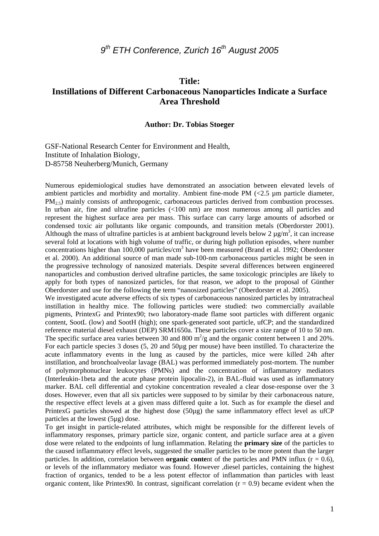# *9th ETH Conference, Zurich 16th August 2005*

### **Title:**

## **Instillations of Different Carbonaceous Nanoparticles Indicate a Surface Area Threshold**

#### **Author: Dr. Tobias Stoeger**

GSF-National Research Center for Environment and Health, Institute of Inhalation Biology, D-85758 Neuherberg/Munich, Germany

Numerous epidemiological studies have demonstrated an association between elevated levels of ambient particles and morbidity and mortality. Ambient fine-mode PM (<2.5 µm particle diameter,  $PM_{2.5}$ ) mainly consists of anthropogenic, carbonaceous particles derived from combustion processes. In urban air, fine and ultrafine particles (<100 nm) are most numerous among all particles and represent the highest surface area per mass. This surface can carry large amounts of adsorbed or condensed toxic air pollutants like organic compounds, and transition metals (Oberdorster 2001). Although the mass of ultrafine particles is at ambient background levels below 2  $\mu$ g/m<sup>3</sup>, it can increase several fold at locations with high volume of traffic, or during high pollution episodes, where number concentrations higher than 100,000 particles/cm<sup>3</sup> have been measured (Brand et al. 1992; Oberdorster et al. 2000). An additional source of man made sub-100-nm carbonaceous particles might be seen in the progressive technology of nanosized materials. Despite several differences between engineered nanoparticles and combustion derived ultrafine particles, the same toxicologic principles are likely to apply for both types of nanosized particles, for that reason, we adopt to the proposal of Günther Oberdorster and use for the following the term "nanosized particles" (Oberdorster et al. 2005).

We investigated acute adverse effects of six types of carbonaceous nanosized particles by intratracheal instillation in healthy mice. The following particles were studied: two commercially available pigments, PrintexG and Printex90; two laboratory-made flame soot particles with different organic content, SootL (low) and SootH (high); one spark-generated soot particle, ufCP; and the standardized reference material diesel exhaust (DEP) SRM1650a. These particles cover a size range of 10 to 50 nm. The specific surface area varies between 30 and 800  $m^2/g$  and the organic content between 1 and 20%. For each particle species 3 doses (5, 20 and 50µg per mouse) have been instilled. To characterize the acute inflammatory events in the lung as caused by the particles, mice were killed 24h after instillation, and bronchoalveolar lavage (BAL) was performed immediately post-mortem. The number of polymorphonuclear leukocytes (PMNs) and the concentration of inflammatory mediators (Interleukin-1beta and the acute phase protein lipocalin-2), in BAL-fluid was used as inflammatory marker. BAL cell differential and cytokine concentration revealed a clear dose-response over the 3 doses. However, even that all six particles were supposed to by similar by their carbonaceous nature, the respective effect levels at a given mass differed quite a lot. Such as for example the diesel and PrintexG particles showed at the highest dose (50µg) the same inflammatory effect level as ufCP particles at the lowest (5µg) dose.

To get insight in particle-related attributes, which might be responsible for the different levels of inflammatory responses, primary particle size, organic content, and particle surface area at a given dose were related to the endpoints of lung inflammation. Relating the **primary size** of the particles to the caused inflammatory effect levels, suggested the smaller particles to be more potent than the larger particles. In addition, correlation between **organic conte**nt of the particles and PMN influx  $(r = 0.6)$ , or levels of the inflammatory mediator was found. However ,diesel particles, containing the highest fraction of organics, tended to be a less potent effector of inflammation than particles with least organic content, like Printex90. In contrast, significant correlation  $(r = 0.9)$  became evident when the